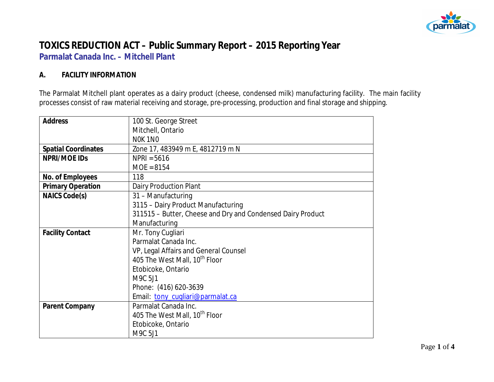

# **TOXICS REDUCTION ACT – Public Summary Report – 2015 Reporting Year Parmalat Canada Inc. – Mitchell Plant**

#### **A. FACILITY INFORMATION**

The Parmalat Mitchell plant operates as a dairy product (cheese, condensed milk) manufacturing facility. The main facility processes consist of raw material receiving and storage, pre-processing, production and final storage and shipping.

| <b>Address</b>             | 100 St. George Street                                       |  |  |  |
|----------------------------|-------------------------------------------------------------|--|--|--|
|                            | Mitchell, Ontario                                           |  |  |  |
|                            | NOK 1NO                                                     |  |  |  |
| <b>Spatial Coordinates</b> | Zone 17, 483949 m E, 4812719 m N                            |  |  |  |
| NPRI/MOE IDS               | $NPRI = 5616$                                               |  |  |  |
|                            | $MOE = 8154$                                                |  |  |  |
| No. of Employees           | 118                                                         |  |  |  |
| <b>Primary Operation</b>   | Dairy Production Plant                                      |  |  |  |
| NAICS Code(s)              | 31 - Manufacturing                                          |  |  |  |
|                            | 3115 - Dairy Product Manufacturing                          |  |  |  |
|                            | 311515 - Butter, Cheese and Dry and Condensed Dairy Product |  |  |  |
|                            | Manufacturing                                               |  |  |  |
| <b>Facility Contact</b>    | Mr. Tony Cugliari                                           |  |  |  |
|                            | Parmalat Canada Inc.                                        |  |  |  |
|                            | VP, Legal Affairs and General Counsel                       |  |  |  |
|                            | 405 The West Mall, 10 <sup>th</sup> Floor                   |  |  |  |
|                            | Etobicoke, Ontario                                          |  |  |  |
|                            | M9C 5J1                                                     |  |  |  |
|                            | Phone: (416) 620-3639                                       |  |  |  |
|                            | Email: tony_cugliari@parmalat.ca                            |  |  |  |
| Parent Company             | Parmalat Canada Inc.                                        |  |  |  |
|                            | 405 The West Mall, 10th Floor                               |  |  |  |
|                            | Etobicoke, Ontario                                          |  |  |  |
|                            | M9C 5J1                                                     |  |  |  |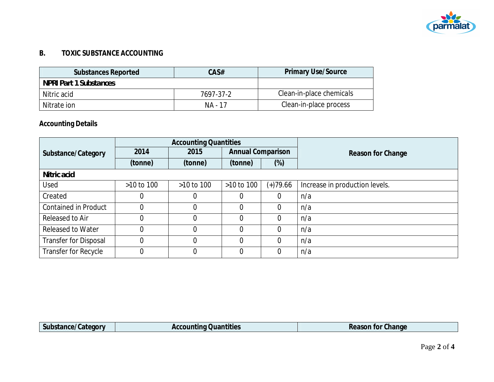

### **B. TOXIC SUBSTANCE ACCOUNTING**

| Substances Reported           | CAS#      | <b>Primary Use/Source</b> |
|-------------------------------|-----------|---------------------------|
| <b>NPRI Part 1 Substances</b> |           |                           |
| Nitric acid                   | 7697-37-2 | Clean-in-place chemicals  |
| Nitrate ion                   | NA - 17   | Clean-in-place process    |

# **Accounting Details**

|                              | <b>Accounting Quantities</b> |            |                          |            |                                |
|------------------------------|------------------------------|------------|--------------------------|------------|--------------------------------|
| Substance/Category           | 2014                         | 2015       | <b>Annual Comparison</b> |            | Reason for Change              |
|                              | (tonne)                      | (tonne)    | (tonne)                  | $(\%)$     |                                |
| Nitric acid                  |                              |            |                          |            |                                |
| Used                         | $>10$ to $100$               | >10 to 100 | $>10$ to 100             | $(+)79.66$ | Increase in production levels. |
| Created                      | 0                            | 0          | 0                        |            | n/a                            |
| <b>Contained in Product</b>  | $\overline{0}$               |            | 0                        |            | n/a                            |
| Released to Air              | 0                            | 0          | 0                        |            | n/a                            |
| <b>Released to Water</b>     | $\overline{0}$               |            | 0                        |            | n/a                            |
| <b>Transfer for Disposal</b> | $\overline{0}$               |            | 0                        |            | n/a                            |
| Transfer for Recycle         | $\mathbf 0$                  | $\Omega$   | 0                        |            | n/a                            |

| $\sim$<br><b>Subc</b><br>, Jategory<br>al Ite <i>l</i><br>. . | .<br>Quantities<br>∵ntino J<br>ACCULI. | $\sim$<br>Change<br>for<br>Reason |
|---------------------------------------------------------------|----------------------------------------|-----------------------------------|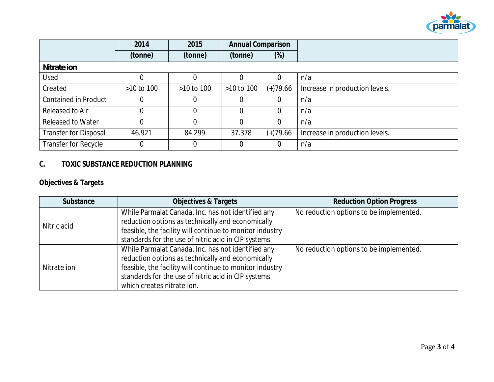

|                              | 2014           | 2015           | <b>Annual Comparison</b> |                |                                |
|------------------------------|----------------|----------------|--------------------------|----------------|--------------------------------|
|                              | (tonne)        | (tonne)        | (tonne)                  | $(\%)$         |                                |
| Nitrate ion                  |                |                |                          |                |                                |
| Used                         |                |                | 0                        | $\overline{0}$ | n/a                            |
| Created                      | $>10$ to $100$ | $>10$ to $100$ | $>10$ to $100$           | $(+)79.66$     | Increase in production levels. |
| <b>Contained in Product</b>  | 0              |                | 0                        | 0              | n/a                            |
| Released to Air              | 0              | 0              | 0                        | $\Omega$       | n/a                            |
| <b>Released to Water</b>     | 0              | $\Omega$       | $\Omega$                 | $\overline{0}$ | n/a                            |
| <b>Transfer for Disposal</b> | 46.921         | 84.299         | 37.378                   | $(+)79.66$     | Increase in production levels. |
| Transfer for Recycle         | 0              |                | 0                        | 0              | n/a                            |

## **C. TOXIC SUBSTANCE REDUCTION PLANNING**

**Objectives & Targets**

| Substance   | <b>Objectives &amp; Targets</b>                                                                                                                                                                                                                          | <b>Reduction Option Progress</b>        |
|-------------|----------------------------------------------------------------------------------------------------------------------------------------------------------------------------------------------------------------------------------------------------------|-----------------------------------------|
| Nitric acid | While Parmalat Canada, Inc. has not identified any<br>reduction options as technically and economically<br>feasible, the facility will continue to monitor industry<br>standards for the use of nitric acid in CIP systems.                              | No reduction options to be implemented. |
| Nitrate ion | While Parmalat Canada, Inc. has not identified any<br>reduction options as technically and economically<br>feasible, the facility will continue to monitor industry<br>standards for the use of nitric acid in CIP systems<br>which creates nitrate ion. | No reduction options to be implemented. |